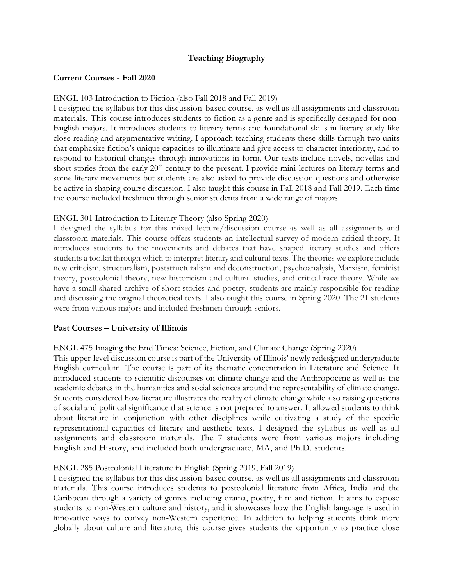## **Teaching Biography**

## **Current Courses - Fall 2020**

### ENGL 103 Introduction to Fiction (also Fall 2018 and Fall 2019)

I designed the syllabus for this discussion-based course, as well as all assignments and classroom materials. This course introduces students to fiction as a genre and is specifically designed for non-English majors. It introduces students to literary terms and foundational skills in literary study like close reading and argumentative writing. I approach teaching students these skills through two units that emphasize fiction's unique capacities to illuminate and give access to character interiority, and to respond to historical changes through innovations in form. Our texts include novels, novellas and short stories from the early 20<sup>th</sup> century to the present. I provide mini-lectures on literary terms and some literary movements but students are also asked to provide discussion questions and otherwise be active in shaping course discussion. I also taught this course in Fall 2018 and Fall 2019. Each time the course included freshmen through senior students from a wide range of majors.

## ENGL 301 Introduction to Literary Theory (also Spring 2020)

I designed the syllabus for this mixed lecture/discussion course as well as all assignments and classroom materials. This course offers students an intellectual survey of modern critical theory. It introduces students to the movements and debates that have shaped literary studies and offers students a toolkit through which to interpret literary and cultural texts. The theories we explore include new criticism, structuralism, poststructuralism and deconstruction, psychoanalysis, Marxism, feminist theory, postcolonial theory, new historicism and cultural studies, and critical race theory. While we have a small shared archive of short stories and poetry, students are mainly responsible for reading and discussing the original theoretical texts. I also taught this course in Spring 2020. The 21 students were from various majors and included freshmen through seniors.

#### **Past Courses – University of Illinois**

ENGL 475 Imaging the End Times: Science, Fiction, and Climate Change (Spring 2020)

This upper-level discussion course is part of the University of Illinois' newly redesigned undergraduate English curriculum. The course is part of its thematic concentration in Literature and Science. It introduced students to scientific discourses on climate change and the Anthropocene as well as the academic debates in the humanities and social sciences around the representability of climate change. Students considered how literature illustrates the reality of climate change while also raising questions of social and political significance that science is not prepared to answer. It allowed students to think about literature in conjunction with other disciplines while cultivating a study of the specific representational capacities of literary and aesthetic texts. I designed the syllabus as well as all assignments and classroom materials. The 7 students were from various majors including English and History, and included both undergraduate, MA, and Ph.D. students.

#### ENGL 285 Postcolonial Literature in English (Spring 2019, Fall 2019)

I designed the syllabus for this discussion-based course, as well as all assignments and classroom materials. This course introduces students to postcolonial literature from Africa, India and the Caribbean through a variety of genres including drama, poetry, film and fiction. It aims to expose students to non-Western culture and history, and it showcases how the English language is used in innovative ways to convey non-Western experience. In addition to helping students think more globally about culture and literature, this course gives students the opportunity to practice close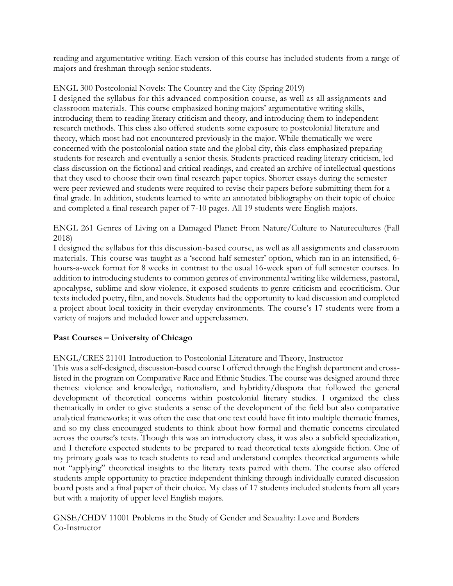reading and argumentative writing. Each version of this course has included students from a range of majors and freshman through senior students.

ENGL 300 Postcolonial Novels: The Country and the City (Spring 2019) I designed the syllabus for this advanced composition course, as well as all assignments and classroom materials. This course emphasized honing majors' argumentative writing skills, introducing them to reading literary criticism and theory, and introducing them to independent research methods. This class also offered students some exposure to postcolonial literature and theory, which most had not encountered previously in the major. While thematically we were concerned with the postcolonial nation state and the global city, this class emphasized preparing students for research and eventually a senior thesis. Students practiced reading literary criticism, led class discussion on the fictional and critical readings, and created an archive of intellectual questions that they used to choose their own final research paper topics. Shorter essays during the semester were peer reviewed and students were required to revise their papers before submitting them for a final grade. In addition, students learned to write an annotated bibliography on their topic of choice and completed a final research paper of 7-10 pages. All 19 students were English majors.

ENGL 261 Genres of Living on a Damaged Planet: From Nature/Culture to Naturecultures (Fall 2018)

I designed the syllabus for this discussion-based course, as well as all assignments and classroom materials. This course was taught as a 'second half semester' option, which ran in an intensified, 6 hours-a-week format for 8 weeks in contrast to the usual 16-week span of full semester courses. In addition to introducing students to common genres of environmental writing like wilderness, pastoral, apocalypse, sublime and slow violence, it exposed students to genre criticism and ecocriticism. Our texts included poetry, film, and novels. Students had the opportunity to lead discussion and completed a project about local toxicity in their everyday environments. The course's 17 students were from a variety of majors and included lower and upperclassmen.

# **Past Courses – University of Chicago**

ENGL/CRES 21101 Introduction to Postcolonial Literature and Theory, Instructor

This was a self-designed, discussion-based course I offered through the English department and crosslisted in the program on Comparative Race and Ethnic Studies. The course was designed around three themes: violence and knowledge, nationalism, and hybridity/diaspora that followed the general development of theoretical concerns within postcolonial literary studies. I organized the class thematically in order to give students a sense of the development of the field but also comparative analytical frameworks; it was often the case that one text could have fit into multiple thematic frames, and so my class encouraged students to think about how formal and thematic concerns circulated across the course's texts. Though this was an introductory class, it was also a subfield specialization, and I therefore expected students to be prepared to read theoretical texts alongside fiction. One of my primary goals was to teach students to read and understand complex theoretical arguments while not "applying" theoretical insights to the literary texts paired with them. The course also offered students ample opportunity to practice independent thinking through individually curated discussion board posts and a final paper of their choice. My class of 17 students included students from all years but with a majority of upper level English majors.

GNSE/CHDV 11001 Problems in the Study of Gender and Sexuality: Love and Borders Co-Instructor